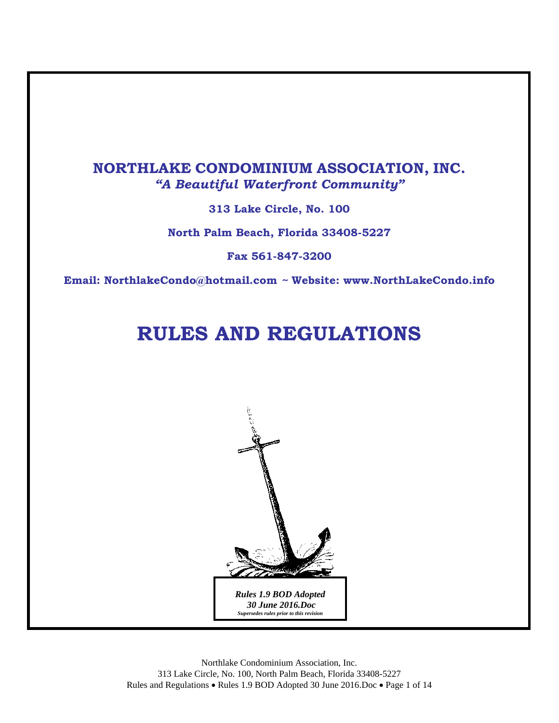### **NORTHLAKE CONDOMINIUM ASSOCIATION, INC.**  *"A Beautiful Waterfront Community"*

**313 Lake Circle, No. 100** 

**North Palm Beach, Florida 33408-5227** 

**Fax 561-847-3200** 

**Email: NorthlakeCondo@hotmail.com** *~* **Website: www.NorthLakeCondo.info** 

# **RULES AND REGULATIONS**



Northlake Condominium Association, Inc. 313 Lake Circle, No. 100, North Palm Beach, Florida 33408-5227 Rules and Regulations • Rules 1.9 BOD Adopted 30 June 2016.Doc • Page 1 of 14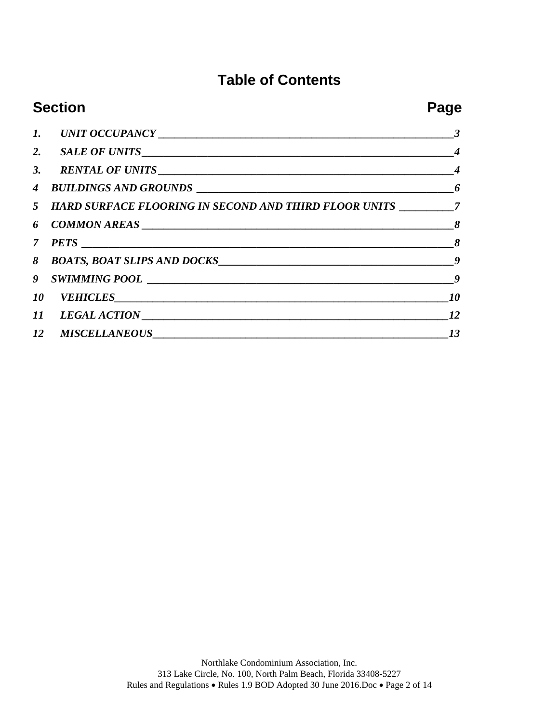## **Table of Contents**

| <b>Section</b> |                                                                                   | Page |
|----------------|-----------------------------------------------------------------------------------|------|
|                |                                                                                   |      |
|                |                                                                                   |      |
|                |                                                                                   |      |
|                |                                                                                   |      |
|                | 5 HARD SURFACE FLOORING IN SECOND AND THIRD FLOOR UNITS _________________________ |      |
|                |                                                                                   |      |
|                |                                                                                   |      |
|                | 8 BOATS, BOAT SLIPS AND DOCKS                                                     |      |
|                |                                                                                   |      |
|                | 10 VEHICLES 10                                                                    |      |
|                |                                                                                   |      |
|                |                                                                                   | 13   |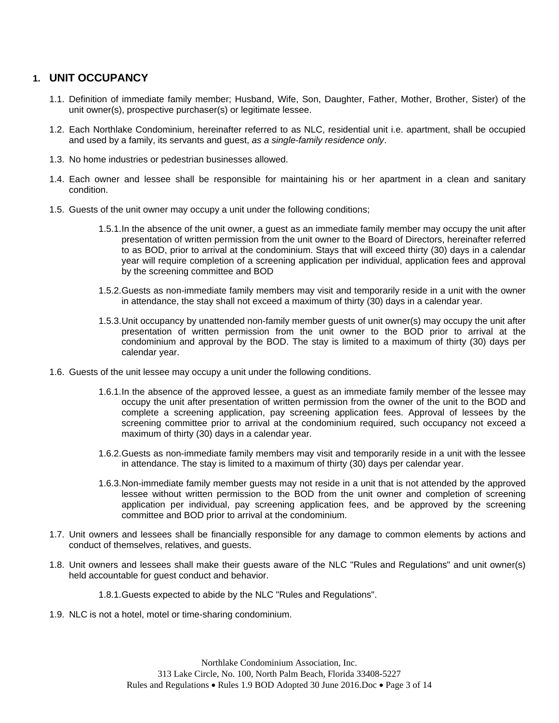#### <span id="page-2-0"></span>**1. UNIT OCCUPANCY**

- 1.1. Definition of immediate family member; Husband, Wife, Son, Daughter, Father, Mother, Brother, Sister) of the unit owner(s), prospective purchaser(s) or legitimate lessee.
- 1.2. Each Northlake Condominium, hereinafter referred to as NLC, residential unit i.e. apartment, shall be occupied and used by a family, its servants and guest, *as a single-family residence only*.
- 1.3. No home industries or pedestrian businesses allowed.
- 1.4. Each owner and lessee shall be responsible for maintaining his or her apartment in a clean and sanitary condition.
- 1.5. Guests of the unit owner may occupy a unit under the following conditions;
	- 1.5.1.In the absence of the unit owner, a guest as an immediate family member may occupy the unit after presentation of written permission from the unit owner to the Board of Directors, hereinafter referred to as BOD, prior to arrival at the condominium. Stays that will exceed thirty (30) days in a calendar year will require completion of a screening application per individual, application fees and approval by the screening committee and BOD
	- 1.5.2.Guests as non-immediate family members may visit and temporarily reside in a unit with the owner in attendance, the stay shall not exceed a maximum of thirty (30) days in a calendar year.
	- 1.5.3.Unit occupancy by unattended non-family member guests of unit owner(s) may occupy the unit after presentation of written permission from the unit owner to the BOD prior to arrival at the condominium and approval by the BOD. The stay is limited to a maximum of thirty (30) days per calendar year.
- 1.6. Guests of the unit lessee may occupy a unit under the following conditions.
	- 1.6.1.In the absence of the approved lessee, a guest as an immediate family member of the lessee may occupy the unit after presentation of written permission from the owner of the unit to the BOD and complete a screening application, pay screening application fees. Approval of lessees by the screening committee prior to arrival at the condominium required, such occupancy not exceed a maximum of thirty (30) days in a calendar year.
	- 1.6.2.Guests as non-immediate family members may visit and temporarily reside in a unit with the lessee in attendance. The stay is limited to a maximum of thirty (30) days per calendar year.
	- 1.6.3.Non-immediate family member guests may not reside in a unit that is not attended by the approved lessee without written permission to the BOD from the unit owner and completion of screening application per individual, pay screening application fees, and be approved by the screening committee and BOD prior to arrival at the condominium.
- 1.7. Unit owners and lessees shall be financially responsible for any damage to common elements by actions and conduct of themselves, relatives, and guests.
- 1.8. Unit owners and lessees shall make their guests aware of the NLC "Rules and Regulations" and unit owner(s) held accountable for guest conduct and behavior.
	- 1.8.1.Guests expected to abide by the NLC "Rules and Regulations".
- 1.9. NLC is not a hotel, motel or time-sharing condominium.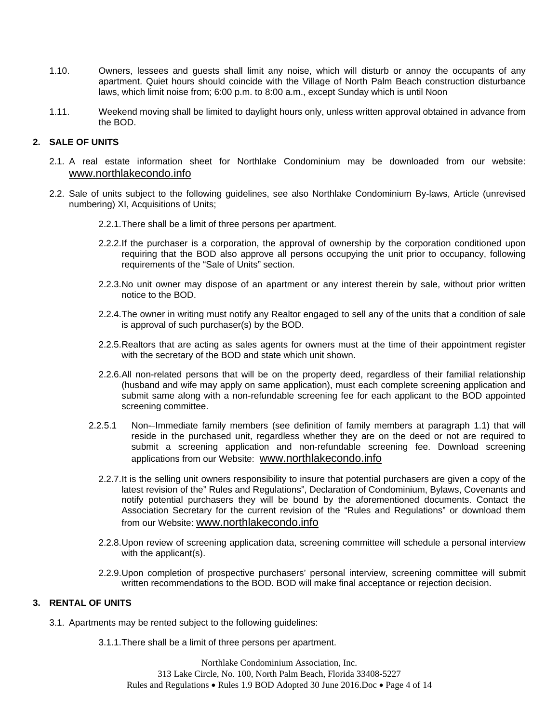- 1.10. Owners, lessees and guests shall limit any noise, which will disturb or annoy the occupants of any apartment. Quiet hours should coincide with the Village of North Palm Beach construction disturbance laws, which limit noise from; 6:00 p.m. to 8:00 a.m., except Sunday which is until Noon
- 1.11. Weekend moving shall be limited to daylight hours only, unless written approval obtained in advance from the BOD.

#### <span id="page-3-0"></span>**2. SALE OF UNITS**

- 2.1. A real estate information sheet for Northlake Condominium may be downloaded from our website: [www.northlakecondo.info](http://www.northlakecondo.info/)
- 2.2. Sale of units subject to the following guidelines, see also Northlake Condominium By-laws, Article (unrevised numbering) XI, Acquisitions of Units;
	- 2.2.1.There shall be a limit of three persons per apartment.
	- 2.2.2.If the purchaser is a corporation, the approval of ownership by the corporation conditioned upon requiring that the BOD also approve all persons occupying the unit prior to occupancy, following requirements of the "Sale of Units" section.
	- 2.2.3.No unit owner may dispose of an apartment or any interest therein by sale, without prior written notice to the BOD.
	- 2.2.4.The owner in writing must notify any Realtor engaged to sell any of the units that a condition of sale is approval of such purchaser(s) by the BOD.
	- 2.2.5.Realtors that are acting as sales agents for owners must at the time of their appointment register with the secretary of the BOD and state which unit shown.
	- 2.2.6.All non-related persons that will be on the property deed, regardless of their familial relationship (husband and wife may apply on same application), must each complete screening application and submit same along with a non-refundable screening fee for each applicant to the BOD appointed screening committee.
	- 2.2.5.1 Non--Immediate family members (see definition of family members at paragraph 1.1) that will reside in the purchased unit, regardless whether they are on the deed or not are required to submit a screening application and non-refundable screening fee. Download screening applications from our Website: [www.northlakecondo.info](http://www.northlakecondo.info/)
		- 2.2.7.It is the selling unit owners responsibility to insure that potential purchasers are given a copy of the latest revision of the" Rules and Regulations", Declaration of Condominium, Bylaws, Covenants and notify potential purchasers they will be bound by the aforementioned documents. Contact the Association Secretary for the current revision of the "Rules and Regulations" or download them from our Website: [www.northlakecondo.info](http://www.northlakecondo.info/)
		- 2.2.8.Upon review of screening application data, screening committee will schedule a personal interview with the applicant(s).
		- 2.2.9.Upon completion of prospective purchasers' personal interview, screening committee will submit written recommendations to the BOD. BOD will make final acceptance or rejection decision.

#### <span id="page-3-1"></span>**3. RENTAL OF UNITS**

- 3.1. Apartments may be rented subject to the following guidelines:
	- 3.1.1.There shall be a limit of three persons per apartment.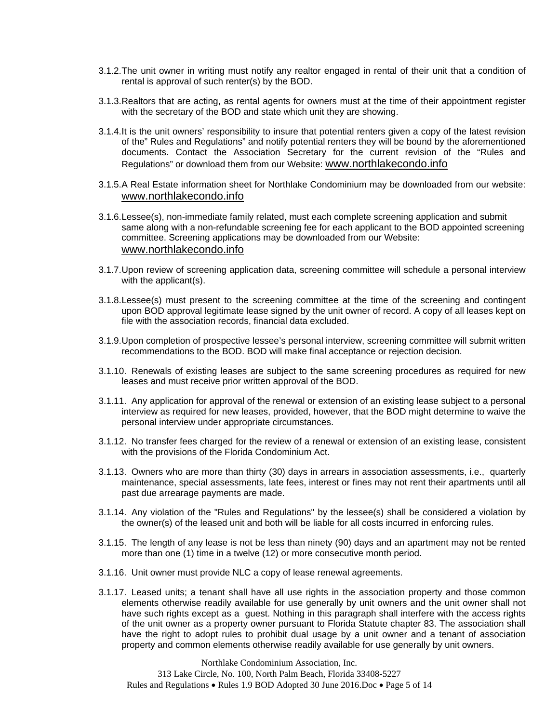- 3.1.2.The unit owner in writing must notify any realtor engaged in rental of their unit that a condition of rental is approval of such renter(s) by the BOD.
- 3.1.3.Realtors that are acting, as rental agents for owners must at the time of their appointment register with the secretary of the BOD and state which unit they are showing.
- 3.1.4.It is the unit owners' responsibility to insure that potential renters given a copy of the latest revision of the" Rules and Regulations" and notify potential renters they will be bound by the aforementioned documents. Contact the Association Secretary for the current revision of the "Rules and Regulations" or download them from our Website: [www.northlakecondo.info](http://www.northlakecondo.info/)
- 3.1.5.A Real Estate information sheet for Northlake Condominium may be downloaded from our website: [www.northlakecondo.info](http://www.northlakecondo.info/)
- 3.1.6.Lessee(s), non-immediate family related, must each complete screening application and submit same along with a non-refundable screening fee for each applicant to the BOD appointed screening committee. Screening applications may be downloaded from our Website: [www.northlakecondo.info](http://www.northlakecondo.info/)
- 3.1.7.Upon review of screening application data, screening committee will schedule a personal interview with the applicant(s).
- 3.1.8.Lessee(s) must present to the screening committee at the time of the screening and contingent upon BOD approval legitimate lease signed by the unit owner of record. A copy of all leases kept on file with the association records, financial data excluded.
- 3.1.9.Upon completion of prospective lessee's personal interview, screening committee will submit written recommendations to the BOD. BOD will make final acceptance or rejection decision.
- 3.1.10. Renewals of existing leases are subject to the same screening procedures as required for new leases and must receive prior written approval of the BOD.
- 3.1.11. Any application for approval of the renewal or extension of an existing lease subject to a personal interview as required for new leases, provided, however, that the BOD might determine to waive the personal interview under appropriate circumstances.
- 3.1.12. No transfer fees charged for the review of a renewal or extension of an existing lease, consistent with the provisions of the Florida Condominium Act.
- 3.1.13. Owners who are more than thirty (30) days in arrears in association assessments, i.e., quarterly maintenance, special assessments, late fees, interest or fines may not rent their apartments until all past due arrearage payments are made.
- 3.1.14. Any violation of the "Rules and Regulations" by the lessee(s) shall be considered a violation by the owner(s) of the leased unit and both will be liable for all costs incurred in enforcing rules.
- 3.1.15. The length of any lease is not be less than ninety (90) days and an apartment may not be rented more than one (1) time in a twelve (12) or more consecutive month period.
- 3.1.16. Unit owner must provide NLC a copy of lease renewal agreements.
- 3.1.17. Leased units; a tenant shall have all use rights in the association property and those common elements otherwise readily available for use generally by unit owners and the unit owner shall not have such rights except as a guest. Nothing in this paragraph shall interfere with the access rights of the unit owner as a property owner pursuant to Florida Statute chapter 83. The association shall have the right to adopt rules to prohibit dual usage by a unit owner and a tenant of association property and common elements otherwise readily available for use generally by unit owners.

Northlake Condominium Association, Inc. 313 Lake Circle, No. 100, North Palm Beach, Florida 33408-5227 Rules and Regulations • Rules 1.9 BOD Adopted 30 June 2016.Doc • Page 5 of 14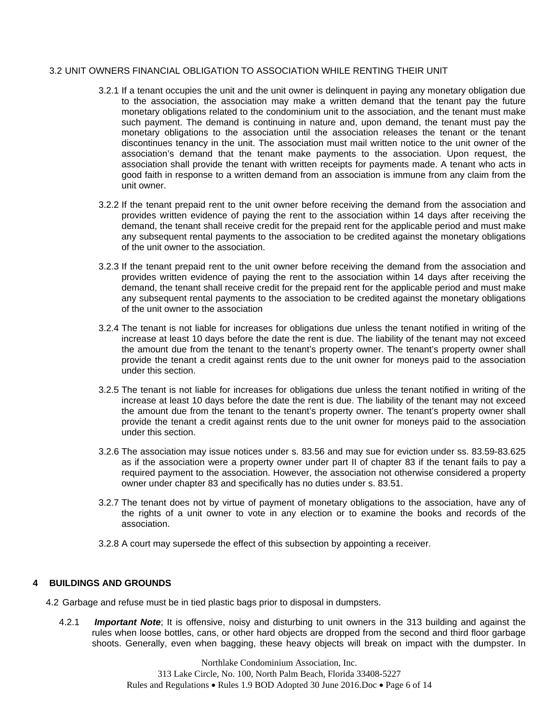#### 3.2 UNIT OWNERS FINANCIAL OBLIGATION TO ASSOCIATION WHILE RENTING THEIR UNIT

- 3.2.1 If a tenant occupies the unit and the unit owner is delinquent in paying any monetary obligation due to the association, the association may make a written demand that the tenant pay the future monetary obligations related to the condominium unit to the association, and the tenant must make such payment. The demand is continuing in nature and, upon demand, the tenant must pay the monetary obligations to the association until the association releases the tenant or the tenant discontinues tenancy in the unit. The association must mail written notice to the unit owner of the association's demand that the tenant make payments to the association. Upon request, the association shall provide the tenant with written receipts for payments made. A tenant who acts in good faith in response to a written demand from an association is immune from any claim from the unit owner.
- 3.2.2 If the tenant prepaid rent to the unit owner before receiving the demand from the association and provides written evidence of paying the rent to the association within 14 days after receiving the demand, the tenant shall receive credit for the prepaid rent for the applicable period and must make any subsequent rental payments to the association to be credited against the monetary obligations of the unit owner to the association.
- 3.2.3 If the tenant prepaid rent to the unit owner before receiving the demand from the association and provides written evidence of paying the rent to the association within 14 days after receiving the demand, the tenant shall receive credit for the prepaid rent for the applicable period and must make any subsequent rental payments to the association to be credited against the monetary obligations of the unit owner to the association
- 3.2.4 The tenant is not liable for increases for obligations due unless the tenant notified in writing of the increase at least 10 days before the date the rent is due. The liability of the tenant may not exceed the amount due from the tenant to the tenant's property owner. The tenant's property owner shall provide the tenant a credit against rents due to the unit owner for moneys paid to the association under this section.
- 3.2.5 The tenant is not liable for increases for obligations due unless the tenant notified in writing of the increase at least 10 days before the date the rent is due. The liability of the tenant may not exceed the amount due from the tenant to the tenant's property owner. The tenant's property owner shall provide the tenant a credit against rents due to the unit owner for moneys paid to the association under this section.
- 3.2.6 The association may issue notices under s. 83.56 and may sue for eviction under ss. 83.59-83.625 as if the association were a property owner under part II of chapter 83 if the tenant fails to pay a required payment to the association. However, the association not otherwise considered a property owner under chapter 83 and specifically has no duties under s. 83.51.
- 3.2.7 The tenant does not by virtue of payment of monetary obligations to the association, have any of the rights of a unit owner to vote in any election or to examine the books and records of the association.
- 3.2.8 A court may supersede the effect of this subsection by appointing a receiver.

#### <span id="page-5-0"></span>**4 BUILDINGS AND GROUNDS**

- 4.2 Garbage and refuse must be in tied plastic bags prior to disposal in dumpsters.
	- 4.2.1 *Important Note*; It is offensive, noisy and disturbing to unit owners in the 313 building and against the rules when loose bottles, cans, or other hard objects are dropped from the second and third floor garbage shoots. Generally, even when bagging, these heavy objects will break on impact with the dumpster. In

Northlake Condominium Association, Inc. 313 Lake Circle, No. 100, North Palm Beach, Florida 33408-5227 Rules and Regulations • Rules 1.9 BOD Adopted 30 June 2016.Doc • Page 6 of 14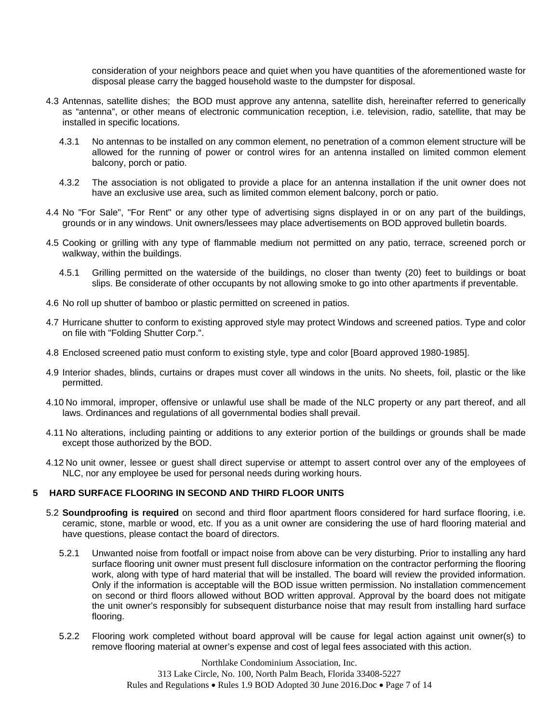consideration of your neighbors peace and quiet when you have quantities of the aforementioned waste for disposal please carry the bagged household waste to the dumpster for disposal.

- 4.3 Antennas, satellite dishes; the BOD must approve any antenna, satellite dish, hereinafter referred to generically as "antenna", or other means of electronic communication reception, i.e. television, radio, satellite, that may be installed in specific locations.
	- 4.3.1 No antennas to be installed on any common element, no penetration of a common element structure will be allowed for the running of power or control wires for an antenna installed on limited common element balcony, porch or patio.
	- 4.3.2 The association is not obligated to provide a place for an antenna installation if the unit owner does not have an exclusive use area, such as limited common element balcony, porch or patio.
- 4.4 No "For Sale", "For Rent" or any other type of advertising signs displayed in or on any part of the buildings, grounds or in any windows. Unit owners/lessees may place advertisements on BOD approved bulletin boards.
- 4.5 Cooking or grilling with any type of flammable medium not permitted on any patio, terrace, screened porch or walkway, within the buildings.
	- 4.5.1 Grilling permitted on the waterside of the buildings, no closer than twenty (20) feet to buildings or boat slips. Be considerate of other occupants by not allowing smoke to go into other apartments if preventable.
- 4.6 No roll up shutter of bamboo or plastic permitted on screened in patios.
- 4.7 Hurricane shutter to conform to existing approved style may protect Windows and screened patios. Type and color on file with "Folding Shutter Corp.".
- 4.8 Enclosed screened patio must conform to existing style, type and color [Board approved 1980-1985].
- 4.9 Interior shades, blinds, curtains or drapes must cover all windows in the units. No sheets, foil, plastic or the like permitted.
- 4.10 No immoral, improper, offensive or unlawful use shall be made of the NLC property or any part thereof, and all laws. Ordinances and regulations of all governmental bodies shall prevail.
- 4.11 No alterations, including painting or additions to any exterior portion of the buildings or grounds shall be made except those authorized by the BOD.
- 4.12 No unit owner, lessee or guest shall direct supervise or attempt to assert control over any of the employees of NLC, nor any employee be used for personal needs during working hours.

#### <span id="page-6-0"></span>**5 HARD SURFACE FLOORING IN SECOND AND THIRD FLOOR UNITS**

- 5.2 **Soundproofing is required** on second and third floor apartment floors considered for hard surface flooring, i.e. ceramic, stone, marble or wood, etc. If you as a unit owner are considering the use of hard flooring material and have questions, please contact the board of directors.
	- 5.2.1 Unwanted noise from footfall or impact noise from above can be very disturbing. Prior to installing any hard surface flooring unit owner must present full disclosure information on the contractor performing the flooring work, along with type of hard material that will be installed. The board will review the provided information. Only if the information is acceptable will the BOD issue written permission. No installation commencement on second or third floors allowed without BOD written approval. Approval by the board does not mitigate the unit owner's responsibly for subsequent disturbance noise that may result from installing hard surface flooring.
	- 5.2.2 Flooring work completed without board approval will be cause for legal action against unit owner(s) to remove flooring material at owner's expense and cost of legal fees associated with this action.

Northlake Condominium Association, Inc. 313 Lake Circle, No. 100, North Palm Beach, Florida 33408-5227 Rules and Regulations • Rules 1.9 BOD Adopted 30 June 2016.Doc • Page 7 of 14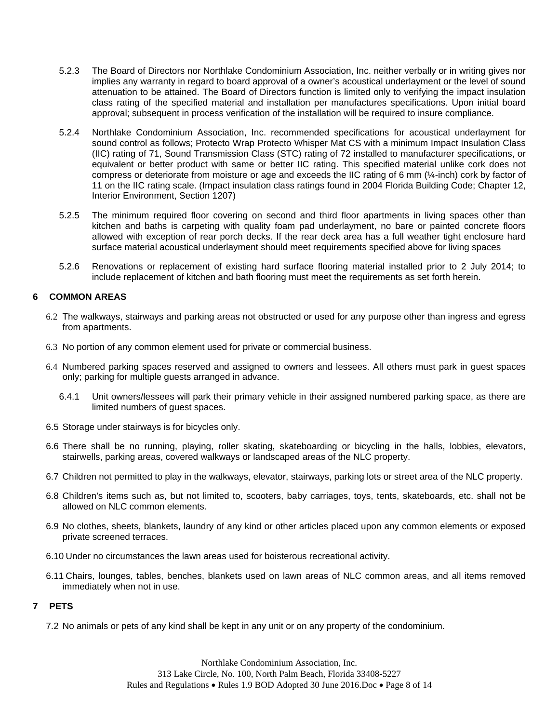- 5.2.3 The Board of Directors nor Northlake Condominium Association, Inc. neither verbally or in writing gives nor implies any warranty in regard to board approval of a owner's acoustical underlayment or the level of sound attenuation to be attained. The Board of Directors function is limited only to verifying the impact insulation class rating of the specified material and installation per manufactures specifications. Upon initial board approval; subsequent in process verification of the installation will be required to insure compliance.
- 5.2.4 Northlake Condominium Association, Inc. recommended specifications for acoustical underlayment for sound control as follows; Protecto Wrap Protecto Whisper Mat CS with a minimum Impact Insulation Class (IIC) rating of 71, Sound Transmission Class (STC) rating of 72 installed to manufacturer specifications, or equivalent or better product with same or better IIC rating. This specified material unlike cork does not compress or deteriorate from moisture or age and exceeds the IIC rating of 6 mm (¼-inch) cork by factor of 11 on the IIC rating scale. (Impact insulation class ratings found in 2004 Florida Building Code; Chapter 12, Interior Environment, Section 1207)
- 5.2.5 The minimum required floor covering on second and third floor apartments in living spaces other than kitchen and baths is carpeting with quality foam pad underlayment, no bare or painted concrete floors allowed with exception of rear porch decks. If the rear deck area has a full weather tight enclosure hard surface material acoustical underlayment should meet requirements specified above for living spaces
- 5.2.6 Renovations or replacement of existing hard surface flooring material installed prior to 2 July 2014; to include replacement of kitchen and bath flooring must meet the requirements as set forth herein.

#### <span id="page-7-0"></span>**6 COMMON AREAS**

- 6.2 The walkways, stairways and parking areas not obstructed or used for any purpose other than ingress and egress from apartments.
- 6.3 No portion of any common element used for private or commercial business.
- 6.4 Numbered parking spaces reserved and assigned to owners and lessees. All others must park in guest spaces only; parking for multiple guests arranged in advance.
	- 6.4.1 Unit owners/lessees will park their primary vehicle in their assigned numbered parking space, as there are limited numbers of guest spaces.
- 6.5 Storage under stairways is for bicycles only.
- 6.6 There shall be no running, playing, roller skating, skateboarding or bicycling in the halls, lobbies, elevators, stairwells, parking areas, covered walkways or landscaped areas of the NLC property.
- 6.7 Children not permitted to play in the walkways, elevator, stairways, parking lots or street area of the NLC property.
- 6.8 Children's items such as, but not limited to, scooters, baby carriages, toys, tents, skateboards, etc. shall not be allowed on NLC common elements.
- 6.9 No clothes, sheets, blankets, laundry of any kind or other articles placed upon any common elements or exposed private screened terraces.
- 6.10 Under no circumstances the lawn areas used for boisterous recreational activity.
- 6.11 Chairs, lounges, tables, benches, blankets used on lawn areas of NLC common areas, and all items removed immediately when not in use.

#### <span id="page-7-1"></span>**7 PETS**

7.2 No animals or pets of any kind shall be kept in any unit or on any property of the condominium.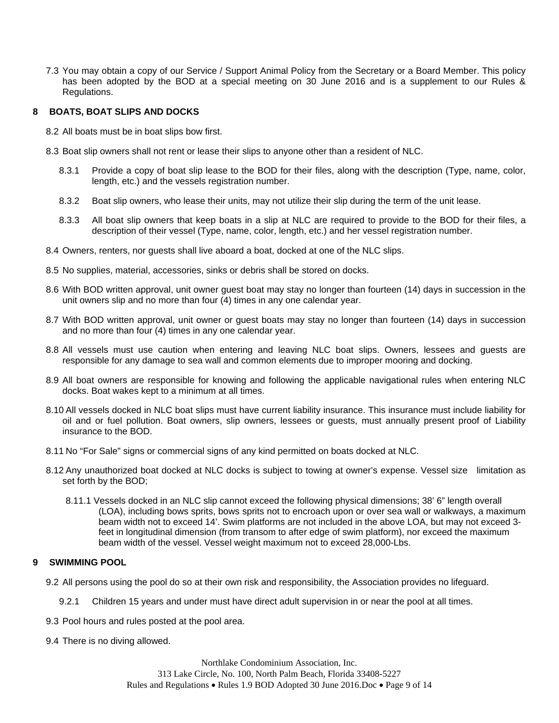7.3 You may obtain a copy of our Service / Support Animal Policy from the Secretary or a Board Member. This policy has been adopted by the BOD at a special meeting on 30 June 2016 and is a supplement to our Rules & Regulations.

#### <span id="page-8-0"></span>**8 BOATS, BOAT SLIPS AND DOCKS**

- 8.2 All boats must be in boat slips bow first.
- 8.3 Boat slip owners shall not rent or lease their slips to anyone other than a resident of NLC.
	- 8.3.1 Provide a copy of boat slip lease to the BOD for their files, along with the description (Type, name, color, length, etc.) and the vessels registration number.
	- 8.3.2 Boat slip owners, who lease their units, may not utilize their slip during the term of the unit lease.
	- 8.3.3 All boat slip owners that keep boats in a slip at NLC are required to provide to the BOD for their files, a description of their vessel (Type, name, color, length, etc.) and her vessel registration number.
- 8.4 Owners, renters, nor guests shall live aboard a boat, docked at one of the NLC slips.
- 8.5 No supplies, material, accessories, sinks or debris shall be stored on docks.
- 8.6 With BOD written approval, unit owner guest boat may stay no longer than fourteen (14) days in succession in the unit owners slip and no more than four (4) times in any one calendar year.
- 8.7 With BOD written approval, unit owner or guest boats may stay no longer than fourteen (14) days in succession and no more than four (4) times in any one calendar year.
- 8.8 All vessels must use caution when entering and leaving NLC boat slips. Owners, lessees and guests are responsible for any damage to sea wall and common elements due to improper mooring and docking.
- 8.9 All boat owners are responsible for knowing and following the applicable navigational rules when entering NLC docks. Boat wakes kept to a minimum at all times.
- 8.10 All vessels docked in NLC boat slips must have current liability insurance. This insurance must include liability for oil and or fuel pollution. Boat owners, slip owners, lessees or guests, must annually present proof of Liability insurance to the BOD.
- 8.11 No "For Sale" signs or commercial signs of any kind permitted on boats docked at NLC.
- 8.12 Any unauthorized boat docked at NLC docks is subject to towing at owner's expense. Vessel size limitation as set forth by the BOD;
	- 8.11.1 Vessels docked in an NLC slip cannot exceed the following physical dimensions; 38' 6" length overall (LOA), including bows sprits, bows sprits not to encroach upon or over sea wall or walkways, a maximum beam width not to exceed 14'. Swim platforms are not included in the above LOA, but may not exceed 3 feet in longitudinal dimension (from transom to after edge of swim platform), nor exceed the maximum beam width of the vessel. Vessel weight maximum not to exceed 28,000-Lbs.

#### <span id="page-8-1"></span>**9 SWIMMING POOL**

- 9.2 All persons using the pool do so at their own risk and responsibility, the Association provides no lifeguard.
	- 9.2.1 Children 15 years and under must have direct adult supervision in or near the pool at all times.
- 9.3 Pool hours and rules posted at the pool area.
- 9.4 There is no diving allowed.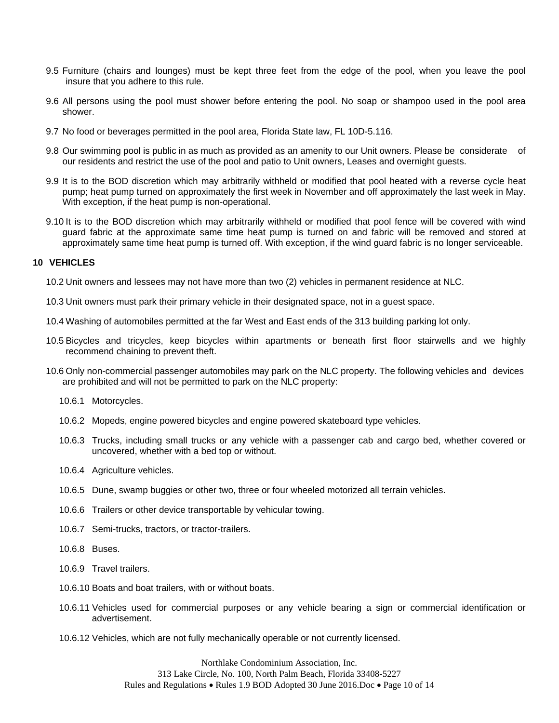- 9.5 Furniture (chairs and lounges) must be kept three feet from the edge of the pool, when you leave the pool insure that you adhere to this rule.
- 9.6 All persons using the pool must shower before entering the pool. No soap or shampoo used in the pool area shower.
- 9.7 No food or beverages permitted in the pool area, Florida State law, FL 10D-5.116.
- 9.8 Our swimming pool is public in as much as provided as an amenity to our Unit owners. Please be considerate of our residents and restrict the use of the pool and patio to Unit owners, Leases and overnight guests.
- 9.9 It is to the BOD discretion which may arbitrarily withheld or modified that pool heated with a reverse cycle heat pump; heat pump turned on approximately the first week in November and off approximately the last week in May. With exception, if the heat pump is non-operational.
- 9.10 It is to the BOD discretion which may arbitrarily withheld or modified that pool fence will be covered with wind guard fabric at the approximate same time heat pump is turned on and fabric will be removed and stored at approximately same time heat pump is turned off. With exception, if the wind guard fabric is no longer serviceable.

#### <span id="page-9-0"></span>**10 VEHICLES**

- 10.2 Unit owners and lessees may not have more than two (2) vehicles in permanent residence at NLC.
- 10.3 Unit owners must park their primary vehicle in their designated space, not in a guest space.
- 10.4 Washing of automobiles permitted at the far West and East ends of the 313 building parking lot only.
- 10.5 Bicycles and tricycles, keep bicycles within apartments or beneath first floor stairwells and we highly recommend chaining to prevent theft.
- 10.6 Only non-commercial passenger automobiles may park on the NLC property. The following vehicles and devices are prohibited and will not be permitted to park on the NLC property:
	- 10.6.1 Motorcycles.
	- 10.6.2 Mopeds, engine powered bicycles and engine powered skateboard type vehicles.
	- 10.6.3 Trucks, including small trucks or any vehicle with a passenger cab and cargo bed, whether covered or uncovered, whether with a bed top or without.
	- 10.6.4 Agriculture vehicles.
	- 10.6.5 Dune, swamp buggies or other two, three or four wheeled motorized all terrain vehicles.
	- 10.6.6 Trailers or other device transportable by vehicular towing.
	- 10.6.7 Semi-trucks, tractors, or tractor-trailers.
	- 10.6.8 Buses.
	- 10.6.9 Travel trailers.
	- 10.6.10 Boats and boat trailers, with or without boats.
	- 10.6.11 Vehicles used for commercial purposes or any vehicle bearing a sign or commercial identification or advertisement.
	- 10.6.12 Vehicles, which are not fully mechanically operable or not currently licensed.

Northlake Condominium Association, Inc. 313 Lake Circle, No. 100, North Palm Beach, Florida 33408-5227 Rules and Regulations • Rules 1.9 BOD Adopted 30 June 2016.Doc • Page 10 of 14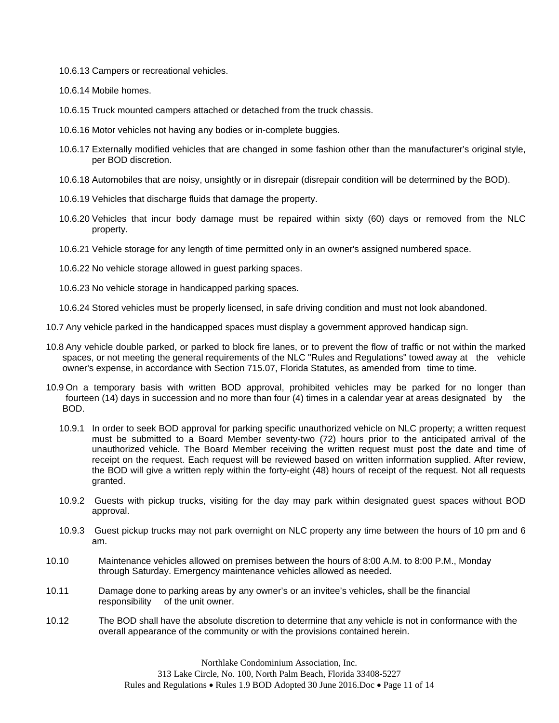- 10.6.13 Campers or recreational vehicles.
- 10.6.14 Mobile homes.
- 10.6.15 Truck mounted campers attached or detached from the truck chassis.
- 10.6.16 Motor vehicles not having any bodies or in-complete buggies.
- 10.6.17 Externally modified vehicles that are changed in some fashion other than the manufacturer's original style, per BOD discretion.
- 10.6.18 Automobiles that are noisy, unsightly or in disrepair (disrepair condition will be determined by the BOD).
- 10.6.19 Vehicles that discharge fluids that damage the property.
- 10.6.20 Vehicles that incur body damage must be repaired within sixty (60) days or removed from the NLC property.
- 10.6.21 Vehicle storage for any length of time permitted only in an owner's assigned numbered space.
- 10.6.22 No vehicle storage allowed in guest parking spaces.
- 10.6.23 No vehicle storage in handicapped parking spaces.

10.6.24 Stored vehicles must be properly licensed, in safe driving condition and must not look abandoned.

- 10.7 Any vehicle parked in the handicapped spaces must display a government approved handicap sign.
- 10.8 Any vehicle double parked, or parked to block fire lanes, or to prevent the flow of traffic or not within the marked spaces, or not meeting the general requirements of the NLC "Rules and Regulations" towed away at the vehicle owner's expense, in accordance with Section 715.07, Florida Statutes, as amended from time to time.
- 10.9 On a temporary basis with written BOD approval, prohibited vehicles may be parked for no longer than fourteen (14) days in succession and no more than four (4) times in a calendar year at areas designated by the BOD.
	- 10.9.1 In order to seek BOD approval for parking specific unauthorized vehicle on NLC property; a written request must be submitted to a Board Member seventy-two (72) hours prior to the anticipated arrival of the unauthorized vehicle. The Board Member receiving the written request must post the date and time of receipt on the request. Each request will be reviewed based on written information supplied. After review, the BOD will give a written reply within the forty-eight (48) hours of receipt of the request. Not all requests granted.
	- 10.9.2 Guests with pickup trucks, visiting for the day may park within designated guest spaces without BOD approval.
	- 10.9.3 Guest pickup trucks may not park overnight on NLC property any time between the hours of 10 pm and 6 am.
- 10.10 Maintenance vehicles allowed on premises between the hours of 8:00 A.M. to 8:00 P.M., Monday through Saturday. Emergency maintenance vehicles allowed as needed.
- 10.11 Damage done to parking areas by any owner's or an invitee's vehicles, shall be the financial responsibility of the unit owner.
- 10.12 The BOD shall have the absolute discretion to determine that any vehicle is not in conformance with the overall appearance of the community or with the provisions contained herein.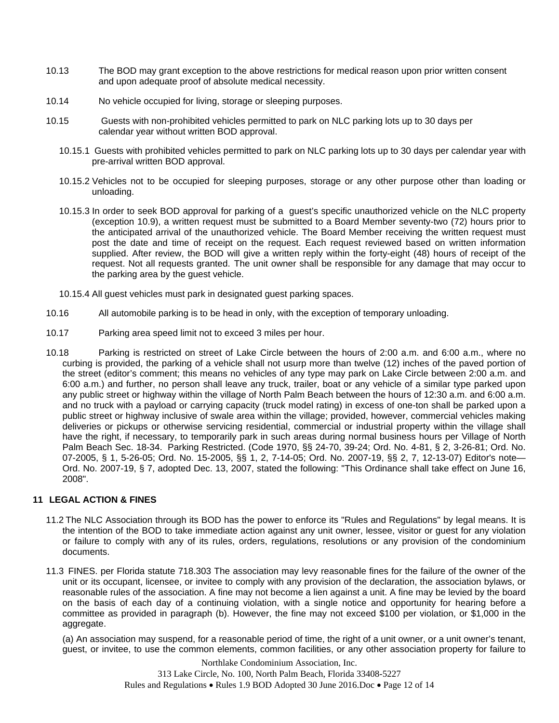- 10.13 The BOD may grant exception to the above restrictions for medical reason upon prior written consent and upon adequate proof of absolute medical necessity.
- 10.14 No vehicle occupied for living, storage or sleeping purposes.
- 10.15 Guests with non-prohibited vehicles permitted to park on NLC parking lots up to 30 days per calendar year without written BOD approval.
	- 10.15.1 Guests with prohibited vehicles permitted to park on NLC parking lots up to 30 days per calendar year with pre-arrival written BOD approval.
	- 10.15.2 Vehicles not to be occupied for sleeping purposes, storage or any other purpose other than loading or unloading.
	- 10.15.3 In order to seek BOD approval for parking of a guest's specific unauthorized vehicle on the NLC property (exception 10.9), a written request must be submitted to a Board Member seventy-two (72) hours prior to the anticipated arrival of the unauthorized vehicle. The Board Member receiving the written request must post the date and time of receipt on the request. Each request reviewed based on written information supplied. After review, the BOD will give a written reply within the forty-eight (48) hours of receipt of the request. Not all requests granted. The unit owner shall be responsible for any damage that may occur to the parking area by the guest vehicle.
	- 10.15.4 All guest vehicles must park in designated guest parking spaces.
- 10.16 All automobile parking is to be head in only, with the exception of temporary unloading.
- 10.17 Parking area speed limit not to exceed 3 miles per hour.
- 10.18 Parking is restricted on street of Lake Circle between the hours of 2:00 a.m. and 6:00 a.m., where no curbing is provided, the parking of a vehicle shall not usurp more than twelve (12) inches of the paved portion of the street (editor's comment; this means no vehicles of any type may park on Lake Circle between 2:00 a.m. and 6:00 a.m.) and further, no person shall leave any truck, trailer, boat or any vehicle of a similar type parked upon any public street or highway within the village of North Palm Beach between the hours of 12:30 a.m. and 6:00 a.m. and no truck with a payload or carrying capacity (truck model rating) in excess of one-ton shall be parked upon a public street or highway inclusive of swale area within the village; provided, however, commercial vehicles making deliveries or pickups or otherwise servicing residential, commercial or industrial property within the village shall have the right, if necessary, to temporarily park in such areas during normal business hours per Village of North Palm Beach Sec. 18-34. Parking Restricted. (Code 1970, §§ 24-70, 39-24; Ord. No. 4-81, § 2, 3-26-81; Ord. No. 07-2005, § 1, 5-26-05; Ord. No. 15-2005, §§ 1, 2, 7-14-05; Ord. No. 2007-19, §§ 2, 7, 12-13-07) Editor's note— Ord. No. 2007-19, § 7, adopted Dec. 13, 2007, stated the following: "This Ordinance shall take effect on June 16, 2008".

#### <span id="page-11-0"></span>**11 LEGAL ACTION & FINES**

- 11.2 The NLC Association through its BOD has the power to enforce its "Rules and Regulations" by legal means. It is the intention of the BOD to take immediate action against any unit owner, lessee, visitor or guest for any violation or failure to comply with any of its rules, orders, regulations, resolutions or any provision of the condominium documents.
- 11.3 FINES. per Florida statute 718.303 The association may levy reasonable fines for the failure of the owner of the unit or its occupant, licensee, or invitee to comply with any provision of the declaration, the association bylaws, or reasonable rules of the association. A fine may not become a lien against a unit. A fine may be levied by the board on the basis of each day of a continuing violation, with a single notice and opportunity for hearing before a committee as provided in paragraph (b). However, the fine may not exceed \$100 per violation, or \$1,000 in the aggregate.

 (a) An association may suspend, for a reasonable period of time, the right of a unit owner, or a unit owner's tenant, guest, or invitee, to use the common elements, common facilities, or any other association property for failure to

> Northlake Condominium Association, Inc. 313 Lake Circle, No. 100, North Palm Beach, Florida 33408-5227 Rules and Regulations  $\bullet$  Rules 1.9 BOD Adopted 30 June 2016.Doc  $\bullet$  Page 12 of 14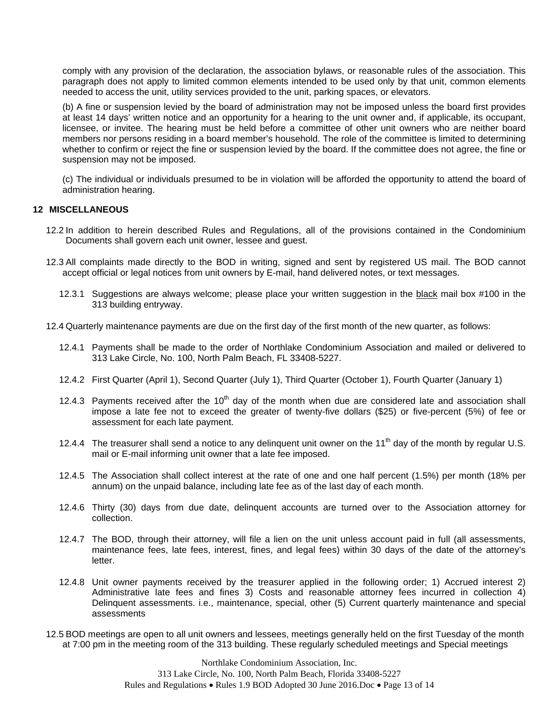comply with any provision of the declaration, the association bylaws, or reasonable rules of the association. This paragraph does not apply to limited common elements intended to be used only by that unit, common elements needed to access the unit, utility services provided to the unit, parking spaces, or elevators.

 (b) A fine or suspension levied by the board of administration may not be imposed unless the board first provides at least 14 days' written notice and an opportunity for a hearing to the unit owner and, if applicable, its occupant, licensee, or invitee. The hearing must be held before a committee of other unit owners who are neither board members nor persons residing in a board member's household. The role of the committee is limited to determining whether to confirm or reject the fine or suspension levied by the board. If the committee does not agree, the fine or suspension may not be imposed.

 (c) The individual or individuals presumed to be in violation will be afforded the opportunity to attend the board of administration hearing.

#### <span id="page-12-0"></span>**12 MISCELLANEOUS**

- 12.2 In addition to herein described Rules and Regulations, all of the provisions contained in the Condominium Documents shall govern each unit owner, lessee and guest.
- 12.3 All complaints made directly to the BOD in writing, signed and sent by registered US mail. The BOD cannot accept official or legal notices from unit owners by E-mail, hand delivered notes, or text messages.
	- 12.3.1 Suggestions are always welcome; please place your written suggestion in the black mail box #100 in the 313 building entryway.
- 12.4 Quarterly maintenance payments are due on the first day of the first month of the new quarter, as follows:
	- 12.4.1 Payments shall be made to the order of Northlake Condominium Association and mailed or delivered to 313 Lake Circle, No. 100, North Palm Beach, FL 33408-5227.
	- 12.4.2 First Quarter (April 1), Second Quarter (July 1), Third Quarter (October 1), Fourth Quarter (January 1)
	- 12.4.3 Payments received after the  $10<sup>th</sup>$  day of the month when due are considered late and association shall impose a late fee not to exceed the greater of twenty-five dollars (\$25) or five-percent (5%) of fee or assessment for each late payment.
	- 12.4.4 The treasurer shall send a notice to any delinguent unit owner on the  $11<sup>th</sup>$  day of the month by regular U.S. mail or E-mail informing unit owner that a late fee imposed.
	- 12.4.5 The Association shall collect interest at the rate of one and one half percent (1.5%) per month (18% per annum) on the unpaid balance, including late fee as of the last day of each month.
	- 12.4.6 Thirty (30) days from due date, delinquent accounts are turned over to the Association attorney for collection.
	- 12.4.7 The BOD, through their attorney, will file a lien on the unit unless account paid in full (all assessments, maintenance fees, late fees, interest, fines, and legal fees) within 30 days of the date of the attorney's letter.
	- 12.4.8 Unit owner payments received by the treasurer applied in the following order; 1) Accrued interest 2) Administrative late fees and fines 3) Costs and reasonable attorney fees incurred in collection 4) Delinquent assessments. i.e., maintenance, special, other (5) Current quarterly maintenance and special assessments
- 12.5 BOD meetings are open to all unit owners and lessees, meetings generally held on the first Tuesday of the month at 7:00 pm in the meeting room of the 313 building. These regularly scheduled meetings and Special meetings